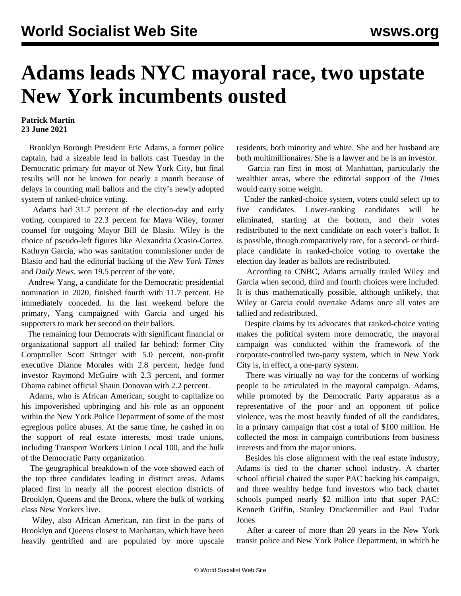## **Adams leads NYC mayoral race, two upstate New York incumbents ousted**

## **Patrick Martin 23 June 2021**

 Brooklyn Borough President Eric Adams, a former police captain, had a sizeable lead in ballots cast Tuesday in the Democratic primary for mayor of New York City, but final results will not be known for nearly a month because of delays in counting mail ballots and the city's newly adopted system of ranked-choice voting.

 Adams had 31.7 percent of the election-day and early voting, compared to 22.3 percent for Maya Wiley, former counsel for outgoing Mayor Bill de Blasio. Wiley is the choice of pseudo-left figures like Alexandria Ocasio-Cortez. Kathryn Garcia, who was sanitation commissioner under de Blasio and had the editorial backing of the *New York Times* and *Daily News*, won 19.5 percent of the vote.

 Andrew Yang, a candidate for the Democratic presidential nomination in 2020, finished fourth with 11.7 percent. He immediately conceded. In the last weekend before the primary, Yang campaigned with Garcia and urged his supporters to mark her second on their ballots.

 The remaining four Democrats with significant financial or organizational support all trailed far behind: former City Comptroller Scott Stringer with 5.0 percent, non-profit executive Dianne Morales with 2.8 percent, hedge fund investor Raymond McGuire with 2.3 percent, and former Obama cabinet official Shaun Donovan with 2.2 percent.

 Adams, who is African American, sought to capitalize on his impoverished upbringing and his role as an opponent within the New York Police Department of some of the most egregious police abuses. At the same time, he cashed in on the support of real estate interests, most trade unions, including Transport Workers Union Local 100, and the bulk of the Democratic Party organization.

 The geographical breakdown of the vote showed each of the top three candidates leading in distinct areas. Adams placed first in nearly all the poorest election districts of Brooklyn, Queens and the Bronx, where the bulk of working class New Yorkers live.

 Wiley, also African American, ran first in the parts of Brooklyn and Queens closest to Manhattan, which have been heavily gentrified and are populated by more upscale residents, both minority and white. She and her husband are both multimillionaires. She is a lawyer and he is an investor.

 Garcia ran first in most of Manhattan, particularly the wealthier areas, where the editorial support of the *Times* would carry some weight.

 Under the ranked-choice system, voters could select up to five candidates. Lower-ranking candidates will be eliminated, starting at the bottom, and their votes redistributed to the next candidate on each voter's ballot. It is possible, though comparatively rare, for a second- or thirdplace candidate in ranked-choice voting to overtake the election day leader as ballots are redistributed.

 According to CNBC, Adams actually trailed Wiley and Garcia when second, third and fourth choices were included. It is thus mathematically possible, although unlikely, that Wiley or Garcia could overtake Adams once all votes are tallied and redistributed.

 Despite claims by its advocates that ranked-choice voting makes the political system more democratic, the mayoral campaign was conducted within the framework of the corporate-controlled two-party system, which in New York City is, in effect, a one-party system.

 There was virtually no way for the concerns of working people to be articulated in the mayoral campaign. Adams, while promoted by the Democratic Party apparatus as a representative of the poor and an opponent of police violence, was the most heavily funded of all the candidates, in a primary campaign that cost a total of \$100 million. He collected the most in campaign contributions from business interests and from the major unions.

 Besides his close alignment with the real estate industry, Adams is tied to the charter school industry. A charter school official chaired the super PAC backing his campaign, and three wealthy hedge fund investors who back charter schools pumped nearly \$2 million into that super PAC: Kenneth Griffin, Stanley Druckenmiller and Paul Tudor Jones.

 After a career of more than 20 years in the New York transit police and New York Police Department, in which he